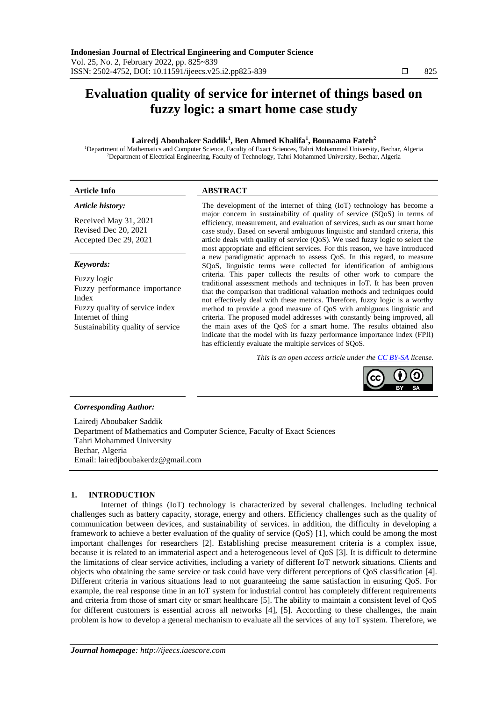# **Evaluation quality of service for internet of things based on fuzzy logic: a smart home case study**

# **Lairedj Aboubaker Saddik<sup>1</sup> , Ben Ahmed Khalifa<sup>1</sup> , Bounaama Fateh<sup>2</sup>**

<sup>1</sup>Department of Mathematics and Computer Science, Faculty of Exact Sciences, Tahri Mohammed University, Bechar, Algeria <sup>2</sup>Department of Electrical Engineering, Faculty of Technology, Tahri Mohammed University, Bechar, Algeria

# **Article Info ABSTRACT**

# *Article history:*

Received May 31, 2021 Revised Dec 20, 2021 Accepted Dec 29, 2021

## *Keywords:*

Fuzzy logic Fuzzy performance importance Index Fuzzy quality of service index Internet of thing Sustainability quality of service

The development of the internet of thing (IoT) technology has become a major concern in sustainability of quality of service (SQoS) in terms of efficiency, measurement, and evaluation of services, such as our smart home case study. Based on several ambiguous linguistic and standard criteria, this article deals with quality of service (QoS). We used fuzzy logic to select the most appropriate and efficient services. For this reason, we have introduced a new paradigmatic approach to assess QoS. In this regard, to measure SQoS, linguistic terms were collected for identification of ambiguous criteria. This paper collects the results of other work to compare the traditional assessment methods and techniques in IoT. It has been proven that the comparison that traditional valuation methods and techniques could not effectively deal with these metrics. Therefore, fuzzy logic is a worthy method to provide a good measure of QoS with ambiguous linguistic and criteria. The proposed model addresses with constantly being improved, all the main axes of the QoS for a smart home. The results obtained also indicate that the model with its fuzzy performance importance index (FPII) has efficiently evaluate the multiple services of SQoS.

*This is an open access article under the [CC BY-SA](https://creativecommons.org/licenses/by-sa/4.0/) license.*



# *Corresponding Author:*

Lairedj Aboubaker Saddik Department of Mathematics and Computer Science, Faculty of Exact Sciences Tahri Mohammed University Bechar, Algeria Email: lairedjboubakerdz@gmail.com

# **1. INTRODUCTION**

Internet of things (IoT) technology is characterized by several challenges. Including technical challenges such as battery capacity, storage, energy and others. Efficiency challenges such as the quality of communication between devices, and sustainability of services. in addition, the difficulty in developing a framework to achieve a better evaluation of the quality of service (QoS) [1], which could be among the most important challenges for researchers [2]. Establishing precise measurement criteria is a complex issue, because it is related to an immaterial aspect and a heterogeneous level of QoS [3]. It is difficult to determine the limitations of clear service activities, including a variety of different IoT network situations. Clients and objects who obtaining the same service or task could have very different perceptions of QoS classification [4]. Different criteria in various situations lead to not guaranteeing the same satisfaction in ensuring QoS. For example, the real response time in an IoT system for industrial control has completely different requirements and criteria from those of smart city or smart healthcare [5]. The ability to maintain a consistent level of QoS for different customers is essential across all networks [4], [5]. According to these challenges, the main problem is how to develop a general mechanism to evaluate all the services of any IoT system. Therefore, we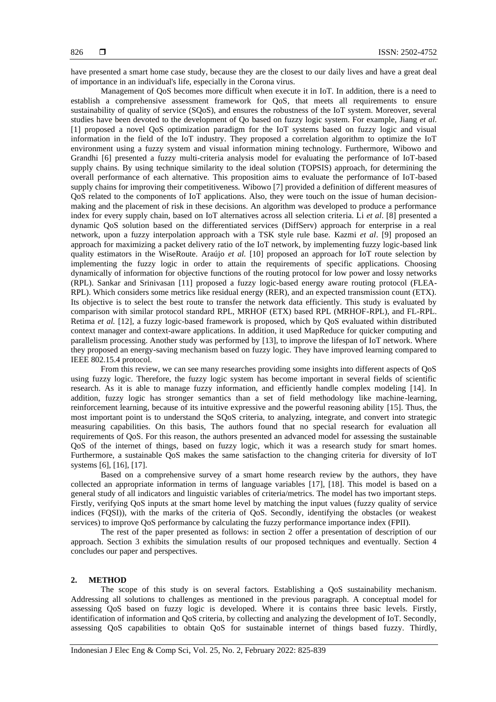have presented a smart home case study, because they are the closest to our daily lives and have a great deal of importance in an individual's life, especially in the Corona virus.

Management of QoS becomes more difficult when execute it in IoT. In addition, there is a need to establish a comprehensive assessment framework for QoS, that meets all requirements to ensure sustainability of quality of service (SQoS), and ensures the robustness of the IoT system. Moreover, several studies have been devoted to the development of Qo based on fuzzy logic system. For example, Jiang *et al.* [1] proposed a novel QoS optimization paradigm for the IoT systems based on fuzzy logic and visual information in the field of the IoT industry. They proposed a correlation algorithm to optimize the IoT environment using a fuzzy system and visual information mining technology. Furthermore, Wibowo and Grandhi [6] presented a fuzzy multi-criteria analysis model for evaluating the performance of IoT-based supply chains. By using technique similarity to the ideal solution (TOPSIS) approach, for determining the overall performance of each alternative. This proposition aims to evaluate the performance of IoT-based supply chains for improving their competitiveness. Wibowo [7] provided a definition of different measures of QoS related to the components of IoT applications. Also, they were touch on the issue of human decisionmaking and the placement of risk in these decisions. An algorithm was developed to produce a performance index for every supply chain, based on IoT alternatives across all selection criteria. Li *et al*. [8] presented a dynamic QoS solution based on the differentiated services (DiffServ) approach for enterprise in a real network, upon a fuzzy interpolation approach with a TSK style rule base. Kazmi *et al*. [9] proposed an approach for maximizing a packet delivery ratio of the IoT network, by implementing fuzzy logic-based link quality estimators in the WiseRoute. Araújo *et al.* [10] proposed an approach for IoT route selection by implementing the fuzzy logic in order to attain the requirements of specific applications. Choosing dynamically of information for objective functions of the routing protocol for low power and lossy networks (RPL). Sankar and Srinivasan [11] proposed a fuzzy logic-based energy aware routing protocol (FLEA-RPL). Which considers some metrics like residual energy (RER), and an expected transmission count (ETX). Its objective is to select the best route to transfer the network data efficiently. This study is evaluated by comparison with similar protocol standard RPL, MRHOF (ETX) based RPL (MRHOF-RPL), and FL-RPL. Retima *et al.* [12], a fuzzy logic-based framework is proposed, which by QoS evaluated within distributed context manager and context-aware applications. In addition, it used MapReduce for quicker computing and parallelism processing. Another study was performed by [13], to improve the lifespan of IoT network. Where they proposed an energy-saving mechanism based on fuzzy logic. They have improved learning compared to IEEE 802.15.4 protocol.

From this review, we can see many researches providing some insights into different aspects of QoS using fuzzy logic. Therefore, the fuzzy logic system has become important in several fields of scientific research. As it is able to manage fuzzy information, and efficiently handle complex modeling [14]. In addition, fuzzy logic has stronger semantics than a set of field methodology like machine-learning, reinforcement learning, because of its intuitive expressive and the powerful reasoning ability [15]. Thus, the most important point is to understand the SQoS criteria, to analyzing, integrate, and convert into strategic measuring capabilities. On this basis, The authors found that no special research for evaluation all requirements of QoS. For this reason, the authors presented an advanced model for assessing the sustainable QoS of the internet of things, based on fuzzy logic, which it was a research study for smart homes. Furthermore, a sustainable QoS makes the same satisfaction to the changing criteria for diversity of IoT systems [6], [16], [17].

Based on a comprehensive survey of a smart home research review by the authors, they have collected an appropriate information in terms of language variables [17], [18]. This model is based on a general study of all indicators and linguistic variables of criteria/metrics. The model has two important steps. Firstly, verifying QoS inputs at the smart home level by matching the input values (fuzzy quality of service indices (FQSI)), with the marks of the criteria of QoS. Secondly, identifying the obstacles (or weakest services) to improve QoS performance by calculating the fuzzy performance importance index (FPII).

The rest of the paper presented as follows: in section 2 offer a presentation of description of our approach. Section 3 exhibits the simulation results of our proposed techniques and eventually. Section 4 concludes our paper and perspectives.

#### **2. METHOD**

The scope of this study is on several factors. Establishing a QoS sustainability mechanism. Addressing all solutions to challenges as mentioned in the previous paragraph. A conceptual model for assessing QoS based on fuzzy logic is developed. Where it is contains three basic levels. Firstly, identification of information and QoS criteria, by collecting and analyzing the development of IoT. Secondly, assessing QoS capabilities to obtain QoS for sustainable internet of things based fuzzy. Thirdly,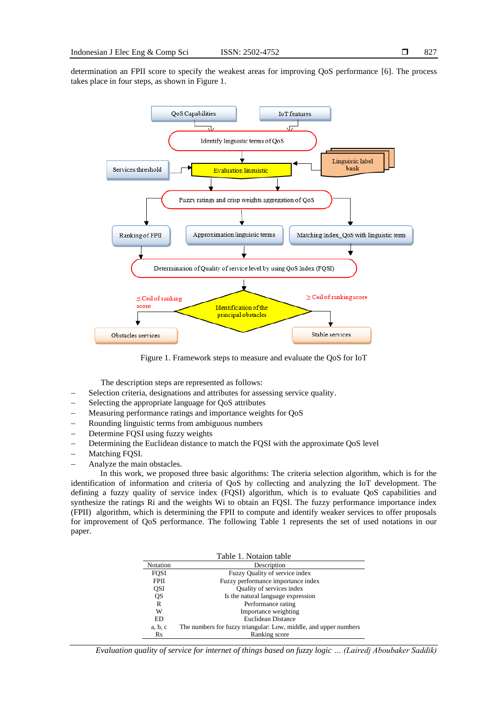determination an FPII score to specify the weakest areas for improving QoS performance [6]. The process takes place in four steps, as shown in Figure 1.



Figure 1. Framework steps to measure and evaluate the QoS for IoT

The description steps are represented as follows:

- Selection criteria, designations and attributes for assessing service quality.
- Selecting the appropriate language for QoS attributes
- Measuring performance ratings and importance weights for QoS
- Rounding linguistic terms from ambiguous numbers
- − Determine FQSI using fuzzy weights
- − Determining the Euclidean distance to match the FQSI with the approximate QoS level
- − Matching FQSI.
- − Analyze the main obstacles.

In this work, we proposed three basic algorithms: The criteria selection algorithm, which is for the identification of information and criteria of QoS by collecting and analyzing the IoT development. The defining a fuzzy quality of service index (FQSI) algorithm, which is to evaluate QoS capabilities and synthesize the ratings Ri and the weights Wi to obtain an FQSI. The fuzzy performance importance index (FPII) algorithm, which is determining the FPII to compute and identify weaker services to offer proposals for improvement of QoS performance. The following Table 1 represents the set of used notations in our paper.

|             | Table 1. Notaion table                                           |
|-------------|------------------------------------------------------------------|
| Notation    | Description                                                      |
| <b>FOSI</b> | Fuzzy Quality of service index                                   |
| <b>FPII</b> | Fuzzy performance importance index                               |
| QSI         | Quality of services index                                        |
| QS          | Is the natural language expression                               |
| R           | Performance rating                                               |
| W           | Importance weighting                                             |
| ED          | Euclidean Distance                                               |
| a, b, c     | The numbers for fuzzy triangular: Low, middle, and upper numbers |
| Rs          | Ranking score                                                    |

*Evaluation quality of service for internet of things based on fuzzy logic … (Lairedj Aboubaker Saddik)*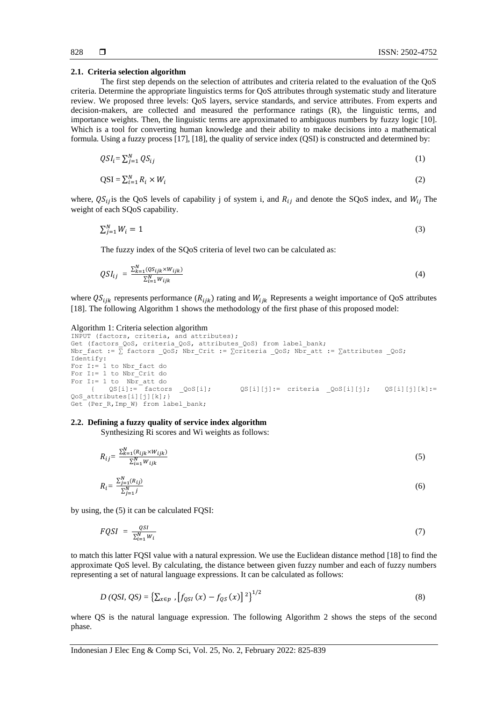#### **2.1. Criteria selection algorithm**

The first step depends on the selection of attributes and criteria related to the evaluation of the QoS criteria. Determine the appropriate linguistics terms for QoS attributes through systematic study and literature review. We proposed three levels: QoS layers, service standards, and service attributes. From experts and decision-makers, are collected and measured the performance ratings (R), the linguistic terms, and importance weights. Then, the linguistic terms are approximated to ambiguous numbers by fuzzy logic [10]. Which is a tool for converting human knowledge and their ability to make decisions into a mathematical formula. Using a fuzzy process [17], [18], the quality of service index (QSI) is constructed and determined by:

$$
QSI_i = \sum_{j=1}^{N} QS_{ij} \tag{1}
$$

$$
QSI = \sum_{i=1}^{N} R_i \times W_i
$$
 (2)

where,  $QS_{ij}$  is the QoS levels of capability j of system i, and  $R_{ij}$  and denote the SQoS index, and  $W_{ij}$  The weight of each SQoS capability.

$$
\sum_{j=1}^{N} W_i = 1 \tag{3}
$$

The fuzzy index of the SQoS criteria of level two can be calculated as:

$$
QSI_{ij} = \frac{\sum_{k=1}^{N} (QS_{ijk} \times W_{ijk})}{\sum_{i=1}^{N} W_{ijk}}
$$
(4)

where  $QS_{ijk}$  represents performance ( $R_{ijk}$ ) rating and  $W_{ijk}$  Represents a weight importance of QoS attributes [18]. The following Algorithm 1 shows the methodology of the first phase of this proposed model:

#### Algorithm 1: Criteria selection algorithm

```
INPUT (factors, criteria, and attributes);
Get (factors QoS, criteria QoS, attributes QoS) from label bank;
Nbr_fact := \overline{\Sigma} factors _QoS; Nbr_Crit := \overline{\Sigma}criteria _QoS; Nbr_att := \overline{\Sigma}attributes _QoS;
Identify: 
For I:= 1 to Nbr_fact do 
For I:= 1 to Nbr_Crit do
For I:= 1 to Nbr_att do
\{ QS[i]:= factors QoS[i]; QS[i][j]:= criteria QoS[i][j]; QS[i][j][k]:=
QoS attributes[i][j][k];}
Get (Per_R, Imp_W) from label bank;
```
# **2.2. Defining a fuzzy quality of service index algorithm**

Synthesizing Ri scores and Wi weights as follows:

$$
R_{ij} = \frac{\sum_{k=1}^{N} (R_{ijk} \times W_{ijk})}{\sum_{i=1}^{N} W_{ijk}}
$$
\n
$$
(5)
$$

$$
R_i = \frac{\sum_{j=1}^{N} (R_{ij})}{\sum_{j=1}^{N} j}
$$
\n
$$
(6)
$$

by using, the (5) it can be calculated FQSI:

$$
FQSI = \frac{QSI}{\sum_{l=1}^{N} w_i} \tag{7}
$$

to match this latter FQSI value with a natural expression. We use the Euclidean distance method [18] to find the approximate QoS level. By calculating, the distance between given fuzzy number and each of fuzzy numbers representing a set of natural language expressions. It can be calculated as follows:

$$
D (QSI, QS) = \left\{ \sum_{x \in p} \left[ f_{QSI}(x) - f_{QS}(x) \right]^2 \right\}^{1/2}
$$
 (8)

where QS is the natural language expression. The following Algorithm 2 shows the steps of the second phase.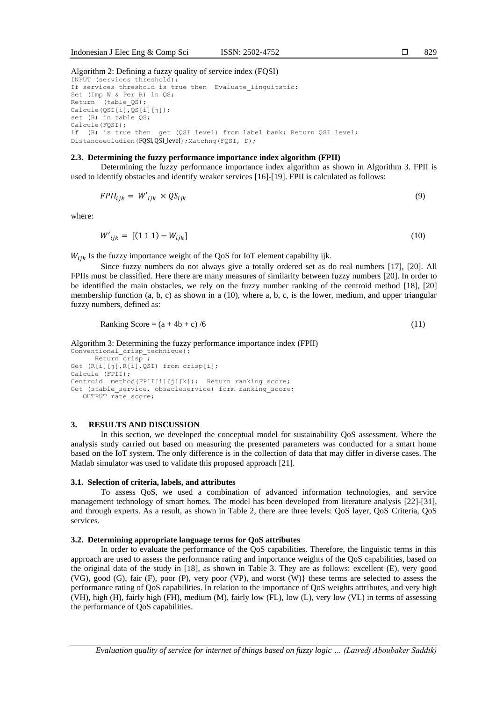#### **2.3. Determining the fuzzy performance importance index algorithm (FPII)**

Determining the fuzzy performance importance index algorithm as shown in Algorithm 3. FPII is used to identify obstacles and identify weaker services [16]-[19]. FPII is calculated as follows:

$$
FPIl_{ijk} = W'_{ijk} \times QS_{ijk} \tag{9}
$$

where:

$$
W'_{ijk} = [(1\ 1\ 1) - W_{ijk}] \tag{10}
$$

 $W_{iik}$  Is the fuzzy importance weight of the QoS for IoT element capability ijk.

Since fuzzy numbers do not always give a totally ordered set as do real numbers [17], [20]. All FPIIs must be classified. Here there are many measures of similarity between fuzzy numbers [20]. In order to be identified the main obstacles, we rely on the fuzzy number ranking of the centroid method [18], [20] membership function (a, b, c) as shown in a (10), where a, b, c, is the lower, medium, and upper triangular fuzzy numbers, defined as:

$$
Ranking Score = (a + 4b + c) / 6 \tag{11}
$$

Algorithm 3: Determining the fuzzy performance importance index (FPII)

```
Conventional crisp technique);
     Return crisp;
Get (R[i][j],R[i],QSI) from crisp[i];
Calcule (FPII);
Centroid method(FPII[i][j][k]); Return ranking score;
Get (stable service, obsacleservice) form ranking score;
    OUTPUT rate_score;
```
### **3. RESULTS AND DISCUSSION**

In this section, we developed the conceptual model for sustainability QoS assessment. Where the analysis study carried out based on measuring the presented parameters was conducted for a smart home based on the IoT system. The only difference is in the collection of data that may differ in diverse cases. The Matlab simulator was used to validate this proposed approach [21].

#### **3.1. Selection of criteria, labels, and attributes**

To assess QoS, we used a combination of advanced information technologies, and service management technology of smart homes. The model has been developed from literature analysis [22]-[31], and through experts. As a result, as shown in Table 2, there are three levels: QoS layer, QoS Criteria, QoS services.

# **3.2. Determining appropriate language terms for QoS attributes**

In order to evaluate the performance of the QoS capabilities. Therefore, the linguistic terms in this approach are used to assess the performance rating and importance weights of the QoS capabilities, based on the original data of the study in [18], as shown in Table 3. They are as follows: excellent (E), very good (VG), good (G), fair (F), poor (P), very poor (VP), and worst (W)} these terms are selected to assess the performance rating of QoS capabilities. In relation to the importance of QoS weights attributes, and very high (VH), high (H), fairly high (FH), medium (M), fairly low (FL), low (L), very low (VL) in terms of assessing the performance of QoS capabilities.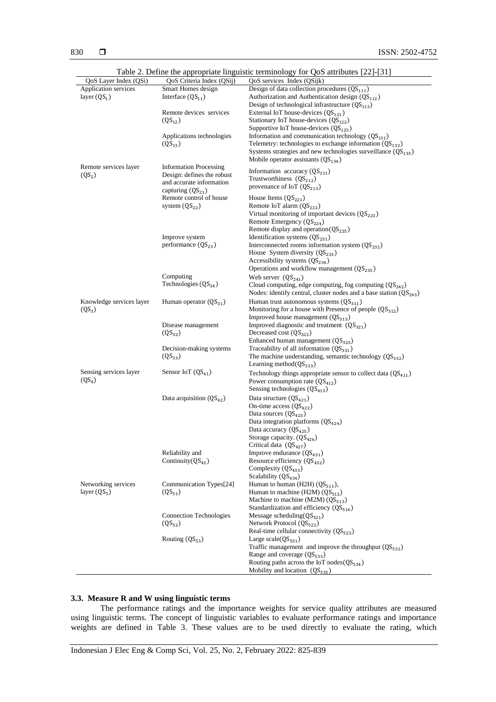|                             |                                | rable 2. Define the appropriate imguistic terminology for Q05 attributes $[22]$ -[31] |
|-----------------------------|--------------------------------|---------------------------------------------------------------------------------------|
| QoS Layer Index (QSi)       | QoS Criteria Index (QSij)      | QoS services Index (QSijk)                                                            |
| <b>Application services</b> | Smart Homes design             | Design of data collection procedures $(QS111)$                                        |
| layer $(QS_1)$              | Interface $(QS_{11})$          | Authorization and Authontication design $(QS112)$                                     |
|                             |                                | Design of technological infrastructure $(QS113)$                                      |
|                             | Remote devices services        | External IoT house-devices $(QS_{121})$                                               |
|                             | $(QS_{12})$                    | Stationary IoT house-devices $(QS_{122})$                                             |
|                             |                                | Supportive IoT house-devices $(QS_{123})$                                             |
|                             | Applications technologies      | Information and communication technology $(QS_{131})$                                 |
|                             | $(QS_{13})$                    | Telemetry: technologies to exchange information $(QS_{132})$                          |
|                             |                                | Systems strategies and new technologies surveillance $(QS133)$                        |
|                             |                                | Mobile operator assistants $(QS_{134})$                                               |
| Remote services layer       | <b>Information Processing</b>  | Information accuracy $(QS_{211})$                                                     |
| $(QS_2)$                    | Design: defines the robust     |                                                                                       |
|                             | and accurate information       | Trustworthiness $(QS212)$                                                             |
|                             | capturing $(QS_{21})$          | provenance of IoT $(QS_{213})$                                                        |
|                             | Remote control of house        | House Items $(QS_{221})$                                                              |
|                             | system $(QS_{22})$             | Remote IoT alarm (QS <sub>222</sub> )                                                 |
|                             |                                | Virtual monitoring of important devices $(QS223)$                                     |
|                             |                                | Remote Emergency $(QS_{224})$                                                         |
|                             |                                | Remote display and operation( $QS225$ )                                               |
|                             | Improve system                 | Identification systems $(QS_{231})$                                                   |
|                             | performance $(QS_{23})$        | Interconnected rooms information system $(QS_{232})$                                  |
|                             |                                | House System diversity $(QS_{233})$                                                   |
|                             |                                | Accessibility systems $(QS_{234})$                                                    |
|                             |                                | Operations and workflow management $(QS_{235})$                                       |
|                             | Computing                      |                                                                                       |
|                             | Technologies $(QS_{24})$       | Web server $(QS_{241})$                                                               |
|                             |                                | Cloud computing, edge computing, fog computing $(QS242)$                              |
|                             |                                | Nodes: identify central, cluster nodes and a base station $(QS_{243})$                |
| Knowledge services layer    | Human operator $(QS_{31})$     | Human trust autonomous systems $(QS_{311})$                                           |
| $(QS_3)$                    |                                | Monitoring for a house with Presence of people $(QS_{312})$                           |
|                             |                                | Improved house management $(QS_{313})$                                                |
|                             | Disease management             | Improved diagnostic and treatment $(QS_{321})$                                        |
|                             | $(QS_{32})$                    | Decreased cost $(QS_{322})$                                                           |
|                             |                                | Enhanced human management $(QS_{323})$                                                |
|                             | Decision-making systems        | Traceability of all information $(QS_{331})$                                          |
|                             | $(QS_{33})$                    | The machine understanding, semantic technology $(QS_{332})$                           |
|                             |                                | Learning method( $QS333$ )                                                            |
| Sensing services layer      | Sensor IoT $(QS_{41})$         | Technology things appropriate sensor to collect data $(QS_{411})$                     |
| (QS <sub>4</sub> )          |                                | Power consumption rate $(QS_{412})$                                                   |
|                             |                                | Sensing technologies $(QS_{413})$                                                     |
|                             |                                |                                                                                       |
|                             | Data acquisition $(QS_{42})$   | Data structure $(QS_{421})$                                                           |
|                             |                                | On-time access $(QS422)$                                                              |
|                             |                                | Data sources $(QS_{423})$                                                             |
|                             |                                | Data integration platforms $(QS_{424})$                                               |
|                             |                                | Data accuracy $(QS_{425})$                                                            |
|                             |                                | Storage capacity. $(QS_{426})$                                                        |
|                             |                                | Critical data $(QS_{427})$                                                            |
|                             | Reliability and                | Improve endurance $(QS_{431})$                                                        |
|                             | Continuity $(QS_{43})$         | Resource efficiency $(QS_{432})$                                                      |
|                             |                                | Complexity $(QS_{433})$                                                               |
|                             |                                | Scalability $(QS_{434})$                                                              |
| Networking services         | Communication Types[24]        | Human to human (H2H) $(QS_{511})$ ,                                                   |
| layer $(QS_5)$              | $(QS_{51})$                    | Human to machine (H2M) $(QS_{512})$                                                   |
|                             |                                | Machine to machine (M2M) $(QS_{513})$                                                 |
|                             |                                | Standardization and efficiency $(QS_{514})$                                           |
|                             | <b>Connection Technologies</b> | Message scheduling( $QS_{521}$ )                                                      |
|                             | $(QS_{52})$                    | Network Protocol $(QS_{522})$                                                         |
|                             |                                | Real-time cellular connectivity $(QS_{523})$                                          |
|                             | Routing $(QS_{53})$            | Large scale $(QS_{531})$                                                              |
|                             |                                | Traffic management and improve the throughput $(QS_{532})$                            |
|                             |                                | Range and coverage $(QS_{533})$                                                       |
|                             |                                | Routing paths across the IoT nodes $(QS_{534})$                                       |
|                             |                                | Mobility and location $(QS_{535})$                                                    |
|                             |                                |                                                                                       |

Table 2. Define the appropriate linguistic terminology for QoS attributes [22]-[31]

# **3.3. Measure R and W using linguistic terms**

The performance ratings and the importance weights for service quality attributes are measured using linguistic terms. The concept of linguistic variables to evaluate performance ratings and importance weights are defined in Table 3. These values are to be used directly to evaluate the rating, which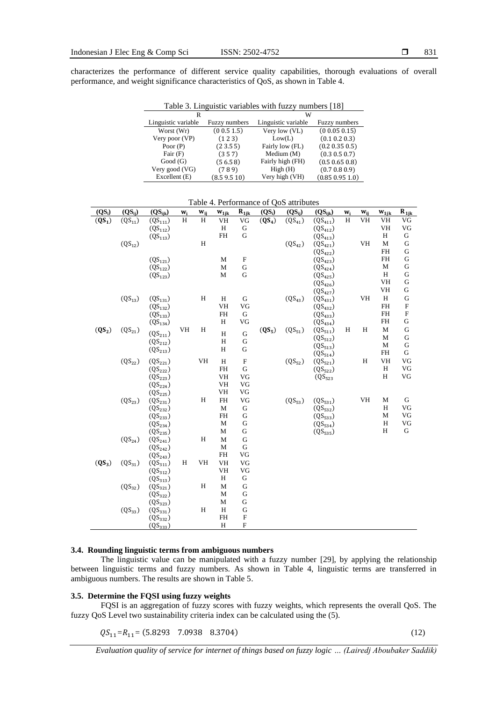characterizes the performance of different service quality capabilities, thorough evaluations of overall performance, and weight significance characteristics of QoS, as shown in Table 4.

Table 3. Linguistic variables with fuzzy numbers [18]

|                     |                      | W                   |                      |
|---------------------|----------------------|---------------------|----------------------|
| Linguistic variable | <b>Fuzzy</b> numbers | Linguistic variable | <b>Fuzzy</b> numbers |
| Worst (Wr)          | (0.0.5 1.5)          | Very low (VL)       | (00.050.15)          |
| Very poor (VP)      | (123)                | Low(L)              | (0.1 0.2 0.3)        |
| Poor $(P)$          | (23.55)              | Fairly low (FL)     | (0.2 0.35 0.5)       |
| Fair $(F)$          | (357)                | Medium (M)          | (0.3 0.5 0.7)        |
| Good(G)             | (56.58)              | Fairly high (FH)    | (0.5 0.65 0.8)       |
| Very good (VG)      | (789)                | High(H)             | (0.7 0.8 0.9)        |
| Excellent (E)       | (8.59.510)           | Very high (VH)      | (0.85 0.95 1.0)      |

| $(QS_i)$ | $(QS_{ij})$ | $(QS_{ijk})$                 | $W_i$ | $W_{ij}$     | $\mathbf{w_{1jk}}$ | $R_{1jk}$                 | $(QS_i)$ | $(QS_{ij})$ | $(QS_{ijk})$ | $\mathbf{w_i}$ | $W_{ij}$ | $W_{1jk}$                          | $R_{1jk}$   |
|----------|-------------|------------------------------|-------|--------------|--------------------|---------------------------|----------|-------------|--------------|----------------|----------|------------------------------------|-------------|
| $(QS_1)$ | $(QS_{11})$ | $(QS_{111})$                 | H     | H            | VH                 | VG                        | $(QS_4)$ | $(QS_{41})$ | $(QS_{411})$ | $\rm H$        | VH       | VH                                 | VG          |
|          |             | $(QS_{112})$                 |       |              | $\, {\rm H}$       | ${\bf G}$                 |          |             | $(QS_{412})$ |                |          | VH                                 | VG          |
|          |             | $(QS_{113})$                 |       |              | FH                 | G                         |          |             | $(QS_{413})$ |                |          | H                                  | ${\bf G}$   |
|          | $(QS_{12})$ |                              |       | H            |                    |                           |          | $(QS_{42})$ | $(QS_{421})$ |                | VH       | M                                  | ${\bf G}$   |
|          |             |                              |       |              |                    |                           |          |             | $(QS_{422})$ |                |          | <b>FH</b>                          | G           |
|          |             | $(QS_{121})$                 |       |              | M                  | $\mathbf F$               |          |             | $(QS_{423})$ |                |          | $\mathbf{FH}% _{2}(X)$             | ${\bf G}$   |
|          |             | $(QS_{122})$                 |       |              | M                  | ${\bf G}$                 |          |             | $(QS_{424})$ |                |          | M                                  | ${\bf G}$   |
|          |             | $(QS_{123})$                 |       |              | M                  | G                         |          |             | $(QS_{425})$ |                |          | H                                  | ${\bf G}$   |
|          |             |                              |       |              |                    |                           |          |             | $(QS_{426})$ |                |          | VH                                 | G           |
|          |             |                              |       |              |                    |                           |          |             | $(QS_{427})$ |                |          | VH                                 | ${\bf G}$   |
|          | $(QS_{13})$ | $(QS_{131})$                 |       | H            | H                  | G                         |          | $(QS_{43})$ | $(QS_{431})$ |                | VH       | H                                  | ${\bf G}$   |
|          |             | $(QS_{132})$                 |       |              | VH                 | VG                        |          |             | $(QS_{432})$ |                |          | $\mathbf{FH}% _{2}\left( X\right)$ | $\mathbf F$ |
|          |             | $(QS_{133})$                 |       |              | FH                 | G                         |          |             | $(QS_{433})$ |                |          | <b>FH</b>                          | $\mathbf F$ |
|          |             | $(QS_{134})$                 |       |              | H                  | VG                        |          |             | $(QS_{434})$ |                |          | <b>FH</b>                          | ${\bf G}$   |
| $(QS_2)$ | $(QS_{21})$ | $(QS_{211})$                 | VH    | H            | H                  | ${\bf G}$                 | $(QS_5)$ | $(QS_{51})$ | $(QS_{511})$ | H              | H        | $\mathbf{M}$                       | G           |
|          |             | $(QS_{212})$                 |       |              | H                  | $\mathbf G$               |          |             | $(QS_{512})$ |                |          | $\mathbf{M}$                       | ${\bf G}$   |
|          |             | $(QS_{213})$                 |       |              | $\, {\rm H}$       | ${\bf G}$                 |          |             | $(QS_{513})$ |                |          | $\mathbf{M}$                       | $\mathbf G$ |
|          |             |                              |       |              |                    |                           |          |             | $(QS_{514})$ |                |          | <b>FH</b>                          | G           |
|          | $(QS_{22})$ | $(QS_{221})$                 |       | VH           | H                  | $\mathbf F$               |          | $(QS_{52})$ | $(QS_{521})$ |                | $\rm H$  | VH                                 | VG          |
|          |             | $(QS_{222})$                 |       |              | FH                 | G                         |          |             | $(QS_{522})$ |                |          | H                                  | VG          |
|          |             | $(QS_{223})$                 |       |              | VH                 | VG                        |          |             | $(QS_{523}$  |                |          | H                                  | VG          |
|          |             | $(QS_{224})$                 |       |              | VH                 | VG                        |          |             |              |                |          |                                    |             |
|          |             | $(QS_{225})$                 |       |              | VH                 | VG                        |          |             |              |                |          |                                    |             |
|          | $(QS_{23})$ | $(QS_{231})$                 |       | H            | FH                 | VG                        |          | $(QS_{53})$ | $(QS_{531})$ |                | VH       | M<br>H                             | G           |
|          |             | $(QS_{232})$                 |       |              | M                  | G                         |          |             | $(QS_{532})$ |                |          |                                    | VG<br>VG    |
|          |             | $(QS_{233})$                 |       |              | FH<br>M            | G<br>$\mathbf G$          |          |             | $(QS_{533})$ |                |          | M<br>H                             | VG          |
|          |             | $(QS_{234})$                 |       |              |                    | ${\bf G}$                 |          |             | $(QS_{534})$ |                |          | H                                  | G           |
|          |             | $(QS_{235})$                 |       | H            | M                  |                           |          |             | $(QS_{535})$ |                |          |                                    |             |
|          | $(QS_{24})$ | $(QS_{241})$                 |       |              | M<br>M             | ${\bf G}$<br>G            |          |             |              |                |          |                                    |             |
|          |             | $(QS_{242})$                 |       |              | FH                 | VG                        |          |             |              |                |          |                                    |             |
|          |             | $(QS_{243})$                 | H     | VH           | VH                 | $\rm{VG}$                 |          |             |              |                |          |                                    |             |
| $(QS_3)$ | $(QS_{31})$ | $(QS_{311})$                 |       |              | VH                 | $\rm{VG}$                 |          |             |              |                |          |                                    |             |
|          |             | $(QS_{312})$                 |       |              | Η                  | ${\bf G}$                 |          |             |              |                |          |                                    |             |
|          | $(QS_{32})$ | $(QS_{313})$<br>$(QS_{321})$ |       | $\, {\rm H}$ | M                  | $\mathbf G$               |          |             |              |                |          |                                    |             |
|          |             | $(QS_{322})$                 |       |              | M                  | $\mathbf G$               |          |             |              |                |          |                                    |             |
|          |             | $(QS_{323})$                 |       |              | M                  | G                         |          |             |              |                |          |                                    |             |
|          | $(QS_{33})$ | $(QS_{331})$                 |       | $\, {\rm H}$ | H                  | G                         |          |             |              |                |          |                                    |             |
|          |             | $(QS_{332})$                 |       |              | FH                 | $\boldsymbol{\mathrm{F}}$ |          |             |              |                |          |                                    |             |
|          |             | $(QS_{333})$                 |       |              | Η                  | $\boldsymbol{\mathrm{F}}$ |          |             |              |                |          |                                    |             |
|          |             |                              |       |              |                    |                           |          |             |              |                |          |                                    |             |

Table 4. Performance of QoS attributes

#### **3.4. Rounding linguistic terms from ambiguous numbers**

The linguistic value can be manipulated with a fuzzy number [29], by applying the relationship between linguistic terms and fuzzy numbers. As shown in Table 4, linguistic terms are transferred in ambiguous numbers. The results are shown in Table 5.

## **3.5. Determine the FQSI using fuzzy weights**

FQSI is an aggregation of fuzzy scores with fuzzy weights, which represents the overall QoS. The fuzzy QoS Level two sustainability criteria index can be calculated using the (5).

 $QS_{11} = R_{11} = (5.8293 \quad 7.0938 \quad 8.3704)$  (12)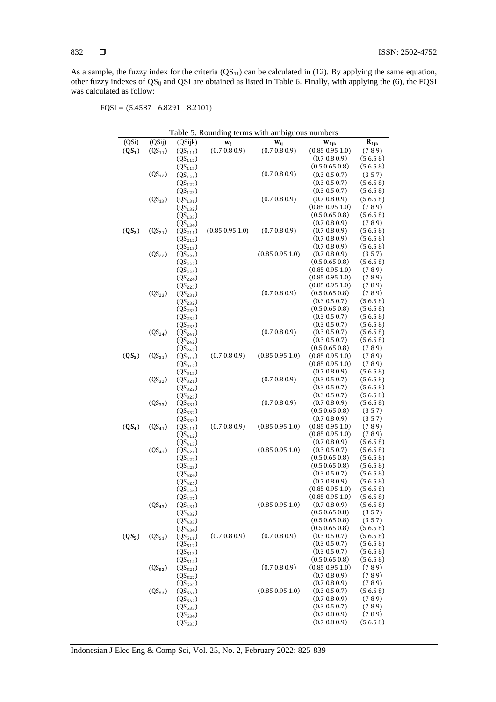As a sample, the fuzzy index for the criteria  $(QS_{11})$  can be calculated in (12). By applying the same equation, other fuzzy indexes of QSij and QSI are obtained as listed in Table 6. Finally, with applying the (6), the FQSI was calculated as follow:

FQSI = (5.4587 6.8291 8.2101)

|          |             |                              | Table 5. Rounding terms with ambiguous numbers |                 |                                      |                    |
|----------|-------------|------------------------------|------------------------------------------------|-----------------|--------------------------------------|--------------------|
| (QSi)    | (QSij)      | (QSijk)                      | w,                                             | $W_{ij}$        | $W_{\rm 1jk}$                        | $R_{1jk}$          |
| $(QS_1)$ | $(QS_{11})$ | $(QS_{111})$                 | (0.7 0.8 0.9)                                  | (0.7 0.8 0.9)   | (0.85 0.95 1.0)                      | (789)              |
|          |             | $(QS_{112})$                 |                                                |                 | (0.7 0.8 0.9)                        | (56.58)            |
|          |             | $(QS_{113})$                 |                                                |                 | (0.5 0.65 0.8)                       | (56.58)            |
|          | $(QS_{12})$ | $(QS_{121})$                 |                                                | (0.7 0.8 0.9)   | (0.3 0.5 0.7)                        | (357)              |
|          |             | $(QS_{122})$                 |                                                |                 | (0.3 0.5 0.7)                        | (56.58)            |
|          |             | $(QS_{123})$                 |                                                |                 | (0.3 0.5 0.7)                        | (56.58)            |
|          | $(QS_{13})$ | $(QS_{131})$                 |                                                | (0.7 0.8 0.9)   | (0.7 0.8 0.9)<br>$(0.85\ 0.95\ 1.0)$ | (56.58)<br>(789)   |
|          |             | $(QS_{132})$<br>$(QS_{133})$ |                                                |                 | (0.5 0.65 0.8)                       | (56.58)            |
|          |             | $(QS_{134})$                 |                                                |                 | (0.7 0.8 0.9)                        | (789)              |
| $(QS_2)$ | $(QS_{21})$ | $(QS_{211})$                 | (0.85 0.95 1.0)                                | (0.7 0.8 0.9)   | (0.7 0.8 0.9)                        | (56.58)            |
|          |             | $(QS_{212})$                 |                                                |                 | (0.7 0.8 0.9)                        | (56.58)            |
|          |             | $(QS_{213})$                 |                                                |                 | (0.7 0.8 0.9)                        | (56.58)            |
|          | $(QS_{22})$ | $(QS_{221})$                 |                                                | (0.85 0.95 1.0) | (0.7 0.8 0.9)                        | (357)              |
|          |             | $(QS_{222})$                 |                                                |                 | (0.5 0.65 0.8)                       | (56.58)            |
|          |             | $(QS_{223})$                 |                                                |                 | (0.85 0.95 1.0)                      | (789)              |
|          |             | $(QS_{224})$                 |                                                |                 | (0.85 0.95 1.0)                      | (789)              |
|          |             | $(QS_{225})$                 |                                                | (0.7 0.8 0.9)   | (0.85 0.95 1.0)<br>(0.5 0.65 0.8)    | (789)<br>(789)     |
|          | $(QS_{23})$ | $(QS_{231})$<br>$(QS_{232})$ |                                                |                 | (0.3 0.5 0.7)                        | (56.58)            |
|          |             | $(QS_{233})$                 |                                                |                 | (0.5 0.65 0.8)                       | (56.58)            |
|          |             | $(QS_{234})$                 |                                                |                 | (0.3 0.5 0.7)                        | (56.58)            |
|          |             | $(QS_{235})$                 |                                                |                 | (0.3 0.5 0.7)                        | (56.58)            |
|          | $(QS_{24})$ | $(QS_{241})$                 |                                                | (0.7 0.8 0.9)   | (0.3 0.5 0.7)                        | (56.58)            |
|          |             | $(QS_{242})$                 |                                                |                 | (0.3 0.5 0.7)                        | (56.58)            |
|          |             | $(QS_{243})$                 |                                                |                 | (0.5 0.65 0.8)                       | (789)              |
| $(QS_3)$ | $(QS_{31})$ | $(QS_{311})$                 | (0.7 0.8 0.9)                                  | (0.85 0.95 1.0) | (0.85 0.95 1.0)                      | (789)              |
|          |             | $(QS_{312})$                 |                                                |                 | (0.85 0.95 1.0)                      | (789)              |
|          |             | $(QS_{313})$                 |                                                |                 | (0.7 0.8 0.9)                        | (56.58)            |
|          | $(QS_{32})$ | $(QS_{321})$                 |                                                | (0.7 0.8 0.9)   | (0.3 0.5 0.7)<br>(0.3 0.5 0.7)       | (56.58)<br>(56.58) |
|          |             | $(QS_{322})$<br>$(QS_{323})$ |                                                |                 | (0.3 0.5 0.7)                        | (56.58)            |
|          | $(QS_{33})$ | $(QS_{331})$                 |                                                | (0.7 0.8 0.9)   | (0.7 0.8 0.9)                        | (56.58)            |
|          |             | $(QS_{332})$                 |                                                |                 | (0.5 0.65 0.8)                       | (357)              |
|          |             | $(QS_{333})$                 |                                                |                 | (0.7 0.8 0.9)                        | (357)              |
| $(QS_4)$ | $(QS_{41})$ | $(QS_{411})$                 | (0.7 0.8 0.9)                                  | (0.85 0.95 1.0) | (0.85 0.95 1.0)                      | (789)              |
|          |             | $(QS_{412})$                 |                                                |                 | (0.85 0.95 1.0)                      | (789)              |
|          |             | $(QS_{413})$                 |                                                |                 | (0.7 0.8 0.9)                        | (56.58)            |
|          | $(QS_{42})$ | $(QS_{421})$                 |                                                | (0.85 0.95 1.0) | (0.3 0.5 0.7)<br>(0.5 0.65 0.8)      | (56.58)            |
|          |             | $(QS_{422})$<br>$(QS_{423})$ |                                                |                 | (0.5 0.65 0.8)                       | (56.58)<br>(56.58) |
|          |             | $(QS_{424})$                 |                                                |                 | (0.3 0.5 0.7)                        | (56.58)            |
|          |             | $(QS_{425})$                 |                                                |                 | (0.7 0.8 0.9)                        | (56.58)            |
|          |             | $(QS_{426})$                 |                                                |                 | (0.85 0.95 1.0)                      | (56.58)            |
|          |             | $(QS_{427})$                 |                                                |                 | (0.85 0.95 1.0)                      | (56.58)            |
|          | $(QS_{43})$ | $(QS_{431})$                 |                                                | (0.85 0.95 1.0) | (0.7 0.8 0.9)                        | (56.58)            |
|          |             | $(QS_{432})$                 |                                                |                 | (0.5 0.65 0.8)                       | (357)              |
|          |             | $(QS_{433})$                 |                                                |                 | (0.5 0.65 0.8)                       | (357)              |
|          |             | $(QS_{434})$                 |                                                |                 | (0.5 0.65 0.8)                       | (56.58)            |
| $(QS_5)$ | $(QS_{51})$ | $(QS_{511})$                 | (0.7 0.8 0.9)                                  | (0.7 0.8 0.9)   | (0.3 0.5 0.7)                        | (56.58)            |
|          |             | $(QS_{512})$                 |                                                |                 | (0.3 0.5 0.7)<br>(0.3 0.5 0.7)       | (56.58)<br>(56.58) |
|          |             | $(QS_{513})$<br>$(QS_{514})$ |                                                |                 | (0.5 0.65 0.8)                       | (56.58)            |
|          | $(QS_{52})$ | $(QS_{521})$                 |                                                | (0.7 0.8 0.9)   | (0.85 0.95 1.0)                      | (789)              |
|          |             | $(QS_{522})$                 |                                                |                 | (0.7 0.8 0.9)                        | (789)              |
|          |             | $(QS_{523})$                 |                                                |                 | (0.7 0.8 0.9)                        | (789)              |
|          | $(QS_{53})$ | $(QS_{531})$                 |                                                | (0.85 0.95 1.0) | (0.3 0.5 0.7)                        | (56.58)            |
|          |             | $(QS_{532})$                 |                                                |                 | (0.7 0.8 0.9)                        | (789)              |
|          |             | $(QS_{533})$                 |                                                |                 | (0.3 0.5 0.7)                        | (789)              |
|          |             | $(QS_{534})$                 |                                                |                 | (0.7 0.8 0.9)                        | (789)              |
|          |             | $(QS_{535})$                 |                                                |                 | (0.7 0.8 0.9)                        | (56.58)            |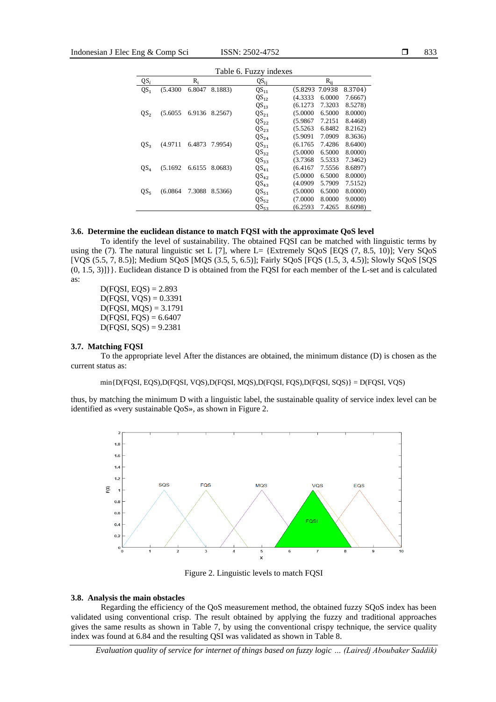|                 | Table 6. Fuzzy indexes |        |         |                  |                |          |         |  |  |  |  |
|-----------------|------------------------|--------|---------|------------------|----------------|----------|---------|--|--|--|--|
| $QS_i$          |                        | $R_i$  |         | $QS_{ii}$        |                | $R_{ii}$ |         |  |  |  |  |
| QS <sub>1</sub> | (5.4300)               | 6.8047 | 8.1883) | $QS_{11}$        | (5.8293 7.0938 |          | 8.3704) |  |  |  |  |
|                 |                        |        |         | $QS_{12}$        | (4.3333)       | 6.0000   | 7.6667) |  |  |  |  |
|                 |                        |        |         | $QS_{13}$        | (6.1273)       | 7.3203   | 8.5278) |  |  |  |  |
| QS <sub>2</sub> | (5.6055)               | 6.9136 | 8.2567) | $QS_{21}$        | (5.0000)       | 6.5000   | 8.0000) |  |  |  |  |
|                 |                        |        |         | $QS_{22}$        | (5.9867)       | 7.2151   | 8.4468) |  |  |  |  |
|                 |                        |        |         | $QS_{23}$        | (5.5263)       | 6.8482   | 8.2162) |  |  |  |  |
|                 |                        |        |         | QS <sub>24</sub> | (5.9091)       | 7.0909   | 8.3636) |  |  |  |  |
| QS <sub>3</sub> | (4.9711)               | 6.4873 | 7.9954) | $QS_{31}$        | (6.1765)       | 7.4286   | 8.6400) |  |  |  |  |
|                 |                        |        |         | $QS_{32}$        | (5.0000)       | 6.5000   | 8.0000) |  |  |  |  |
|                 |                        |        |         | $QS_{33}$        | (3.7368)       | 5.5333   | 7.3462) |  |  |  |  |
| QS <sub>4</sub> | (5.1692)               | 6.6155 | 8.0683) | $QS_{41}$        | (6.4167)       | 7.5556   | 8.6897) |  |  |  |  |
|                 |                        |        |         | $QS_{42}$        | (5.0000)       | 6.5000   | 8.0000) |  |  |  |  |
|                 |                        |        |         | $QS_{43}$        | (4.0909)       | 5.7909   | 7.5152) |  |  |  |  |
| $QS_{5}$        | (6.0864)               | 7.3088 | 8.5366) | $QS_{51}$        | (5.0000)       | 6.5000   | 8.0000) |  |  |  |  |
|                 |                        |        |         | $QS_{52}$        | (7.0000)       | 8.0000   | 9.0000  |  |  |  |  |
|                 |                        |        |         | $QS_{53}$        | (6.2593)       | 7.4265   | 8.6098) |  |  |  |  |

#### **3.6. Determine the euclidean distance to match FQSI with the approximate QoS level**

To identify the level of sustainability. The obtained FQSI can be matched with linguistic terms by using the (7). The natural linguistic set L [7], where L= {Extremely SQoS [EQS (7, 8.5, 10)]; Very SQoS [VQS (5.5, 7, 8.5)]; Medium SQoS [MQS (3.5, 5, 6.5)]; Fairly SQoS [FQS (1.5, 3, 4.5)]; Slowly SQoS [SQS (0, 1.5, 3)]}}. Euclidean distance D is obtained from the FQSI for each member of the L-set and is calculated as:

 $D(FQSI, EQS) = 2.893$  $D(FQSI, VQS) = 0.3391$  $D(FQSI, MQS) = 3.1791$  $D(FQSI, FQS) = 6.6407$  $D(FQSI, SQS) = 9.2381$ 

#### **3.7. Matching FQSI**

To the appropriate level After the distances are obtained, the minimum distance (D) is chosen as the current status as:

min{D(FQSI, EQS),D(FQSI, VQS),D(FQSI, MQS),D(FQSI, FQS),D(FQSI, SQS)} = D(FQSI, VQS)

thus, by matching the minimum D with a linguistic label, the sustainable quality of service index level can be identified as «very sustainable QoS», as shown in Figure 2.



Figure 2. Linguistic levels to match FQSI

#### **3.8. Analysis the main obstacles**

Regarding the efficiency of the QoS measurement method, the obtained fuzzy SQoS index has been validated using conventional crisp. The result obtained by applying the fuzzy and traditional approaches gives the same results as shown in Table 7, by using the conventional crispy technique, the service quality index was found at 6.84 and the resulting QSI was validated as shown in Table 8.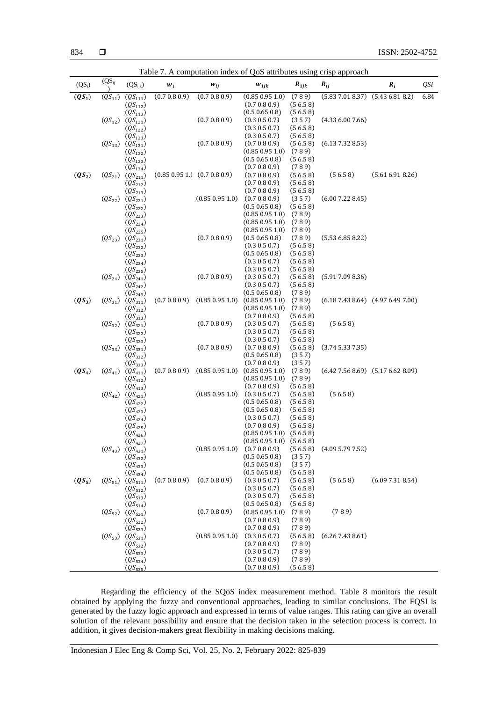|          | Table 7. A computation index of QoS attributes using crisp approach |                                        |                                     |                 |                                         |                    |                                  |                                   |      |  |
|----------|---------------------------------------------------------------------|----------------------------------------|-------------------------------------|-----------------|-----------------------------------------|--------------------|----------------------------------|-----------------------------------|------|--|
| $(QS_i)$ | $(QS_{ij})$                                                         | $(QS_{ijk})$                           | $W_i$                               | $W_{ij}$        | $W_{1jk}$                               | $R_{1jk}$          | $R_{ij}$                         | $R_i$                             | QSI  |  |
| $(QS_1)$ | $(QS_{11})$                                                         | $(QS_{111})$                           | (0.7 0.8 0.9)                       | (0.7 0.8 0.9)   | (0.85 0.95 1.0)                         | (789)              | $(5.837.018.37)$ $(5.436.818.2)$ |                                   | 6.84 |  |
|          |                                                                     | $(QS_{112})$                           |                                     |                 | (0.7 0.8 0.9)                           | (56.58)            |                                  |                                   |      |  |
|          |                                                                     | $(QS_{113})$                           |                                     |                 | (0.5 0.65 0.8)                          | (56.58)            |                                  |                                   |      |  |
|          |                                                                     | $(QS_{12}) (QS_{121})$                 |                                     | (0.7 0.8 0.9)   | (0.3 0.5 0.7)                           | (357)              | (4.336.007.66)                   |                                   |      |  |
|          |                                                                     | $(QS_{122})$                           |                                     |                 | (0.3 0.5 0.7)                           | (56.58)            |                                  |                                   |      |  |
|          |                                                                     | $(QS_{123})$                           |                                     | (0.7 0.8 0.9)   | (0.3 0.5 0.7)<br>(0.7 0.8 0.9)          | (56.58)<br>(56.58) | (6.137.328.53)                   |                                   |      |  |
|          |                                                                     | $(QS_{13}) (QS_{131})$<br>$(QS_{132})$ |                                     |                 | (0.85 0.95 1.0)                         | (789)              |                                  |                                   |      |  |
|          |                                                                     | $(QS_{133})$                           |                                     |                 | (0.5 0.65 0.8)                          | (56.58)            |                                  |                                   |      |  |
|          |                                                                     | $(QS_{134})$                           |                                     |                 | (0.7 0.8 0.9)                           | (789)              |                                  |                                   |      |  |
| $(QS_2)$ |                                                                     | $(QS_{21}) (QS_{211})$                 | $(0.85\ 0.95\ 1.1\ (0.7\ 0.8\ 0.9)$ |                 | (0.7 0.8 0.9)                           | (56.58)            | (56.58)                          | (5.616.918.26)                    |      |  |
|          |                                                                     | $(QS_{212})$                           |                                     |                 | (0.7 0.8 0.9)                           | (56.58)            |                                  |                                   |      |  |
|          |                                                                     | $(QS_{213})$                           |                                     |                 | (0.7 0.8 0.9)                           | (56.58)            |                                  |                                   |      |  |
|          |                                                                     | $(QS_{22}) (QS_{221})$                 |                                     | (0.85 0.95 1.0) | (0.7 0.8 0.9)                           | (357)              | (6.007.228.45)                   |                                   |      |  |
|          |                                                                     | $(QS_{222})$                           |                                     |                 | (0.5 0.65 0.8)                          | (56.58)            |                                  |                                   |      |  |
|          |                                                                     | $(QS_{223})$                           |                                     |                 | (0.85 0.95 1.0)                         | (789)              |                                  |                                   |      |  |
|          |                                                                     | $(QS_{224})$                           |                                     |                 | (0.85 0.95 1.0)                         | (789)              |                                  |                                   |      |  |
|          |                                                                     | $(QS_{225})$                           |                                     |                 | (0.85 0.95 1.0)                         | (789)              |                                  |                                   |      |  |
|          |                                                                     | $(QS_{23})$ $(QS_{231})$               |                                     | (0.7 0.8 0.9)   | (0.5 0.65 0.8)                          | (789)              | (5.536.858.22)                   |                                   |      |  |
|          |                                                                     | $(QS_{232})$<br>$(QS_{233})$           |                                     |                 | (0.3 0.5 0.7)<br>(0.5 0.65 0.8)         | (56.58)<br>(56.58) |                                  |                                   |      |  |
|          |                                                                     | $(QS_{234})$                           |                                     |                 | (0.3 0.5 0.7)                           | (56.58)            |                                  |                                   |      |  |
|          |                                                                     | $(QS_{235})$                           |                                     |                 | (0.3 0.5 0.7)                           | (56.58)            |                                  |                                   |      |  |
|          |                                                                     | $(QS_{24}) (QS_{241})$                 |                                     | (0.7 0.8 0.9)   | (0.3 0.5 0.7)                           | (56.58)            | (5.917.098.36)                   |                                   |      |  |
|          |                                                                     | $(QS_{242})$                           |                                     |                 | (0.3 0.5 0.7)                           | (56.58)            |                                  |                                   |      |  |
|          |                                                                     | $(QS_{243})$                           |                                     |                 | (0.5 0.65 0.8)                          | (789)              |                                  |                                   |      |  |
| $(QS_3)$ |                                                                     | $(QS_{31}) (QS_{311})$                 | (0.7 0.8 0.9)                       |                 | $(0.85\ 0.95\ 1.0)$ $(0.85\ 0.95\ 1.0)$ | (789)              |                                  | $(6.187.438.64)$ $(4.976.497.00)$ |      |  |
|          |                                                                     | $(QS_{312})$                           |                                     |                 | (0.85 0.95 1.0)                         | (789)              |                                  |                                   |      |  |
|          |                                                                     | $(QS_{313})$                           |                                     |                 | (0.7 0.8 0.9)                           | (56.58)            |                                  |                                   |      |  |
|          |                                                                     | $(QS_{32}) (QS_{321})$                 |                                     | (0.7 0.8 0.9)   | (0.3 0.5 0.7)                           | (56.58)            | (56.58)                          |                                   |      |  |
|          |                                                                     | $(QS_{322})$<br>$(QS_{323})$           |                                     |                 | (0.3 0.5 0.7)<br>(0.3 0.5 0.7)          | (56.58)<br>(56.58) |                                  |                                   |      |  |
|          |                                                                     | $(QS_{33}) (QS_{331})$                 |                                     | (0.7 0.8 0.9)   | (0.7 0.8 0.9)                           | (56.58)            | (3.745.337.35)                   |                                   |      |  |
|          |                                                                     | $(QS_{332})$                           |                                     |                 | (0.5 0.65 0.8)                          | (357)              |                                  |                                   |      |  |
|          |                                                                     | $(QS_{333})$                           |                                     |                 | (0.7 0.8 0.9)                           | (357)              |                                  |                                   |      |  |
| $(QS_4)$ |                                                                     | $(QS_{41}) (QS_{411})$                 | (0.7 0.8 0.9)                       |                 | $(0.85\ 0.95\ 1.0)$ $(0.85\ 0.95\ 1.0)$ | (789)              |                                  | $(6.427.568.69)$ $(5.176.628.09)$ |      |  |
|          |                                                                     | $(QS_{412})$                           |                                     |                 | $(0.85\ 0.95\ 1.0)$                     | (789)              |                                  |                                   |      |  |
|          |                                                                     | $(QS_{413})$                           |                                     |                 | (0.7 0.8 0.9)                           | (56.58)            |                                  |                                   |      |  |
|          |                                                                     | $(QS_{42}) (QS_{421})$                 |                                     | (0.85 0.95 1.0) | (0.3 0.5 0.7)                           | (56.58)            | (56.58)                          |                                   |      |  |
|          |                                                                     | $(QS_{422})$                           |                                     |                 | (0.5 0.65 0.8)                          | (56.58)            |                                  |                                   |      |  |
|          |                                                                     | $(QS_{423})$<br>$(QS_{424})$           |                                     |                 | (0.5 0.65 0.8)<br>(0.3 0.5 0.7)         | (56.58)<br>(56.58) |                                  |                                   |      |  |
|          |                                                                     | $(QS_{425})$                           |                                     |                 | (0.7 0.8 0.9)                           | (56.58)            |                                  |                                   |      |  |
|          |                                                                     | $(QS_{426})$                           |                                     |                 | $(0.85\ 0.95\ 1.0)$ $(5.6.5\ 8)$        |                    |                                  |                                   |      |  |
|          |                                                                     | $(QS_{427})$                           |                                     |                 | $(0.85\ 0.95\ 1.0)$ $(5.65\ 8)$         |                    |                                  |                                   |      |  |
|          |                                                                     | $(QS_{43}) (QS_{431})$                 |                                     | (0.85 0.95 1.0) | (0.7 0.8 0.9)                           | (56.58)            | (4.095.797.52)                   |                                   |      |  |
|          |                                                                     | $(QS_{432})$                           |                                     |                 | (0.5 0.65 0.8)                          | (357)              |                                  |                                   |      |  |
|          |                                                                     | $(QS_{433})$                           |                                     |                 | (0.5 0.65 0.8)                          | (357)              |                                  |                                   |      |  |
|          |                                                                     | $(QS_{434})$                           |                                     |                 | (0.5 0.65 0.8)                          | (56.58)            |                                  |                                   |      |  |
| $(QS_5)$ | $(QS_{51})$                                                         | $(QS_{511})$                           | (0.7 0.8 0.9)                       | (0.7 0.8 0.9)   | (0.3 0.5 0.7)                           | (56.58)            | (56.58)                          | (6.097.318.54)                    |      |  |
|          |                                                                     | $(QS_{512})$<br>$(QS_{513})$           |                                     |                 | (0.3 0.5 0.7)<br>(0.3 0.5 0.7)          | (56.58)<br>(56.58) |                                  |                                   |      |  |
|          |                                                                     | $(QS_{514})$                           |                                     |                 | (0.5 0.65 0.8)                          | (56.58)            |                                  |                                   |      |  |
|          |                                                                     | $(QS_{52}) (QS_{521})$                 |                                     | (0.7 0.8 0.9)   | (0.85 0.95 1.0)                         | (789)              | (789)                            |                                   |      |  |
|          |                                                                     | $(QS_{522})$                           |                                     |                 | (0.7 0.8 0.9)                           | (789)              |                                  |                                   |      |  |
|          |                                                                     | $(QS_{523})$                           |                                     |                 | (0.7 0.8 0.9)                           | (789)              |                                  |                                   |      |  |
|          |                                                                     | $(QS_{53})$ $(QS_{531})$               |                                     | (0.85 0.95 1.0) | (0.3 0.5 0.7)                           | (56.58)            | (6.267.438.61)                   |                                   |      |  |
|          |                                                                     | $(QS_{532})$                           |                                     |                 | (0.7 0.8 0.9)                           | (789)              |                                  |                                   |      |  |
|          |                                                                     | $(QS_{533})$                           |                                     |                 | (0.3 0.5 0.7)                           | (789)              |                                  |                                   |      |  |
|          |                                                                     | $(QS_{534})$                           |                                     |                 | (0.7 0.8 0.9)                           | (789)              |                                  |                                   |      |  |
|          |                                                                     | $(QS_{535})$                           |                                     |                 | (0.7 0.8 0.9)                           | (56.58)            |                                  |                                   |      |  |

Regarding the efficiency of the SQoS index measurement method. Table 8 monitors the result obtained by applying the fuzzy and conventional approaches, leading to similar conclusions. The FQSI is generated by the fuzzy logic approach and expressed in terms of value ranges. This rating can give an overall solution of the relevant possibility and ensure that the decision taken in the selection process is correct. In addition, it gives decision-makers great flexibility in making decisions making.

Indonesian J Elec Eng & Comp Sci, Vol. 25, No. 2, February 2022: 825-839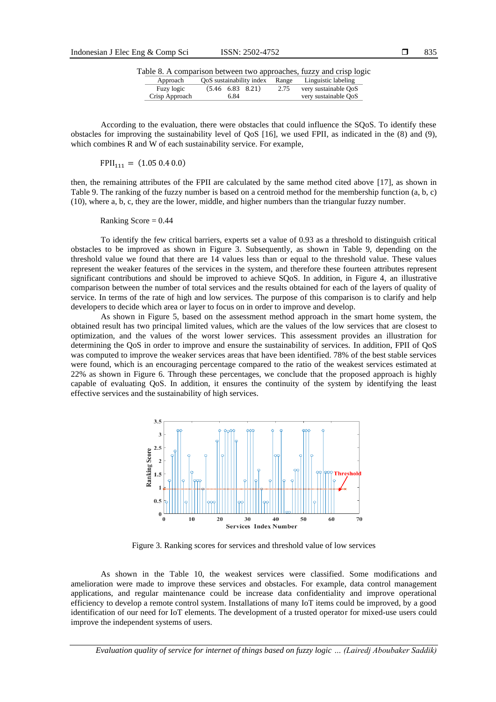|                |      |                                |      | Table 8. A comparison between two approaches, fuzzy and crisp logic |
|----------------|------|--------------------------------|------|---------------------------------------------------------------------|
| Approach       |      | OoS sustainability index Range |      | Linguistic labeling                                                 |
| Fuzy logic     |      | $(5.46 \t6.83 \t8.21)$         | 2.75 | very sustainable OoS                                                |
| Crisp Approach | 6.84 |                                |      | very sustainable OoS                                                |

According to the evaluation, there were obstacles that could influence the SQoS. To identify these obstacles for improving the sustainability level of QoS [16], we used FPII, as indicated in the (8) and (9), which combines R and W of each sustainability service. For example,

 $FPII_{111} = (1.05 0.4 0.0)$ 

then, the remaining attributes of the FPII are calculated by the same method cited above [17], as shown in Table 9. The ranking of the fuzzy number is based on a centroid method for the membership function (a, b, c) (10), where a, b, c, they are the lower, middle, and higher numbers than the triangular fuzzy number.

Ranking Score  $= 0.44$ 

To identify the few critical barriers, experts set a value of 0.93 as a threshold to distinguish critical obstacles to be improved as shown in Figure 3. Subsequently, as shown in Table 9, depending on the threshold value we found that there are 14 values less than or equal to the threshold value. These values represent the weaker features of the services in the system, and therefore these fourteen attributes represent significant contributions and should be improved to achieve SQoS. In addition, in Figure 4, an illustrative comparison between the number of total services and the results obtained for each of the layers of quality of service. In terms of the rate of high and low services. The purpose of this comparison is to clarify and help developers to decide which area or layer to focus on in order to improve and develop.

As shown in Figure 5, based on the assessment method approach in the smart home system, the obtained result has two principal limited values, which are the values of the low services that are closest to optimization, and the values of the worst lower services. This assessment provides an illustration for determining the QoS in order to improve and ensure the sustainability of services. In addition, FPII of QoS was computed to improve the weaker services areas that have been identified. 78% of the best stable services were found, which is an encouraging percentage compared to the ratio of the weakest services estimated at 22% as shown in Figure 6. Through these percentages, we conclude that the proposed approach is highly capable of evaluating QoS. In addition, it ensures the continuity of the system by identifying the least effective services and the sustainability of high services.



Figure 3. Ranking scores for services and threshold value of low services

As shown in the Table 10, the weakest services were classified. Some modifications and amelioration were made to improve these services and obstacles. For example, data control management applications, and regular maintenance could be increase data confidentiality and improve operational efficiency to develop a remote control system. Installations of many IoT items could be improved, by a good identification of our need for IoT elements. The development of a trusted operator for mixed-use users could improve the independent systems of users.

*Evaluation quality of service for internet of things based on fuzzy logic … (Lairedj Aboubaker Saddik)*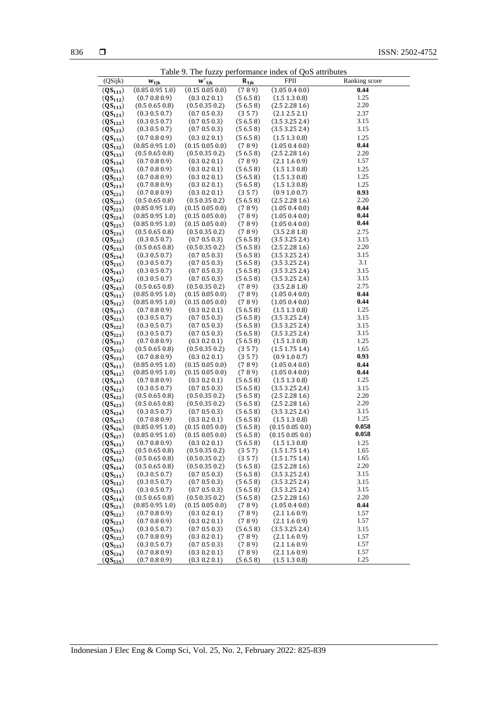|                              | Table 9. The fuzzy performance index of QoS attributes |                                                     |                    |                                        |               |  |  |  |  |  |
|------------------------------|--------------------------------------------------------|-----------------------------------------------------|--------------------|----------------------------------------|---------------|--|--|--|--|--|
| (QSijk)                      | $W_{1ik}$                                              | $\overline{\mathbf{w}'}_{1j\underline{\mathbf{k}}}$ | $R_{1jk}$          | <b>FPII</b>                            | Ranking score |  |  |  |  |  |
| $(QS_{111})$                 | (0.85 0.95 1.0)                                        | (0.15 0.05 0.0)                                     | (789)              | (1.05 0.4 0.0)                         | 0.44          |  |  |  |  |  |
| $(QS_{112})$                 | (0.7 0.8 0.9)                                          | (0.3 0.2 0.1)                                       | (56.58)            | (1.5 1.3 0.8)                          | 1.25          |  |  |  |  |  |
| $(QS_{113})$                 | (0.5 0.65 0.8)                                         | (0.5 0.35 0.2)                                      | (56.58)            | (2.5 2.28 1.6)                         | 2.20          |  |  |  |  |  |
| $(QS_{121})$                 | (0.3 0.5 0.7)                                          | (0.7 0.5 0.3)                                       | (357)              | (2.12.52.1)                            | 2.37          |  |  |  |  |  |
| $(QS_{122})$                 | (0.3 0.5 0.7)                                          | (0.7 0.5 0.3)                                       | (56.58)            | (3.53.252.4)                           | 3.15          |  |  |  |  |  |
| $(QS_{123})$                 | (0.3 0.5 0.7)                                          | (0.7 0.5 0.3)                                       | (56.58)            | (3.53.252.4)                           | 3.15          |  |  |  |  |  |
| $(QS_{131})$                 | (0.7 0.8 0.9)                                          | (0.3 0.2 0.1)                                       | (56.58)            | (1.5 1.3 0.8)                          | 1.25          |  |  |  |  |  |
| $(QS_{132})$                 | (0.85 0.95 1.0)                                        | (0.15 0.05 0.0)                                     | (789)              | (1.05 0.4 0.0)                         | 0.44          |  |  |  |  |  |
| $(QS_{133})$                 | (0.5 0.65 0.8)                                         | (0.5 0.35 0.2)                                      | (56.58)            | (2.5 2.28 1.6)                         | 2.20          |  |  |  |  |  |
| $(QS_{134})$                 | (0.7 0.8 0.9)                                          | (0.3 0.2 0.1)                                       | (789)              | (2.11.60.9)                            | 1.57          |  |  |  |  |  |
| $(QS_{211})$                 | (0.7 0.8 0.9)                                          | (0.3 0.2 0.1)                                       | (56.58)            | (1.5 1.3 0.8)                          | 1.25          |  |  |  |  |  |
| $(QS_{212})$                 | (0.7 0.8 0.9)                                          | (0.3 0.2 0.1)                                       | (56.58)            | (1.5 1.3 0.8)                          | 1.25          |  |  |  |  |  |
| $(QS_{213})$                 | (0.7 0.8 0.9)                                          | (0.3 0.2 0.1)                                       | (56.58)            | (1.51.30.8)                            | 1.25          |  |  |  |  |  |
| $(QS_{221})$                 | (0.7 0.8 0.9)                                          | (0.3 0.2 0.1)                                       | (357)              | (0.9 1.0 0.7)                          | 0.93          |  |  |  |  |  |
| $(QS_{222})$                 | (0.5 0.65 0.8)                                         | (0.5 0.35 0.2)                                      | (56.58)            | (2.5 2.28 1.6)                         | 2.20          |  |  |  |  |  |
| $(QS_{223})$                 | (0.85 0.95 1.0)                                        | (0.15 0.05 0.0)                                     | (789)              | (1.05 0.4 0.0)                         | 0.44          |  |  |  |  |  |
| $(QS_{224})$                 | (0.85 0.95 1.0)                                        | $(0.15\ 0.05\ 0.0)$                                 | (789)              | (1.05 0.4 0.0)                         | 0.44          |  |  |  |  |  |
| $(QS_{225})$                 | (0.85 0.95 1.0)                                        | (0.15 0.05 0.0)                                     | (789)              | (1.05 0.4 0.0)                         | 0.44          |  |  |  |  |  |
| $(QS_{231})$                 | (0.5 0.65 0.8)                                         | (0.5 0.35 0.2)<br>(0.7 0.5 0.3)                     | (789)              | (3.5 2.8 1.8)                          | 2.75<br>3.15  |  |  |  |  |  |
| $(QS_{232})$                 | (0.3 0.5 0.7)<br>(0.5 0.65 0.8)                        | (0.5 0.35 0.2)                                      | (56.58)<br>(56.58) | (3.53.252.4)<br>(2.5 2.28 1.6)         | 2.20          |  |  |  |  |  |
| $(QS_{233})$<br>$(QS_{234})$ | (0.3 0.5 0.7)                                          | (0.7 0.5 0.3)                                       | (56.58)            | (3.53.252.4)                           | 3.15          |  |  |  |  |  |
| $(QS_{235})$                 | (0.3 0.5 0.7)                                          | (0.7 0.5 0.3)                                       | (56.58)            | (3.53.252.4)                           | 3.1           |  |  |  |  |  |
| $(QS_{241})$                 | (0.3 0.5 0.7)                                          | (0.7 0.5 0.3)                                       | (56.58)            | (3.53.252.4)                           | 3.15          |  |  |  |  |  |
| $(QS_{242})$                 | (0.3 0.5 0.7)                                          | (0.7 0.5 0.3)                                       | (56.58)            | (3.53.252.4)                           | 3.15          |  |  |  |  |  |
| $(QS_{243})$                 | (0.5 0.65 0.8)                                         | (0.5 0.35 0.2)                                      | (789)              | (3.5 2.8 1.8)                          | 2.75          |  |  |  |  |  |
| $(QS_{311})$                 | (0.85 0.95 1.0)                                        | (0.15 0.05 0.0)                                     | (789)              | (1.05 0.4 0.0)                         | 0.44          |  |  |  |  |  |
| $(QS_{312})$                 | (0.85 0.95 1.0)                                        | (0.15 0.05 0.0)                                     | (789)              | (1.05 0.4 0.0)                         | 0.44          |  |  |  |  |  |
| $(QS_{313})$                 | (0.7 0.8 0.9)                                          | (0.3 0.2 0.1)                                       | (56.58)            | (1.5 1.3 0.8)                          | 1.25          |  |  |  |  |  |
| $(QS_{321})$                 | (0.3 0.5 0.7)                                          | (0.7 0.5 0.3)                                       | (56.58)            | (3.53.252.4)                           | 3.15          |  |  |  |  |  |
| $(QS_{322})$                 | (0.3 0.5 0.7)                                          | (0.7 0.5 0.3)                                       | (56.58)            | (3.53.252.4)                           | 3.15          |  |  |  |  |  |
| $(QS_{323})$                 | (0.3 0.5 0.7)                                          | (0.7 0.5 0.3)                                       | (56.58)            | (3.53.252.4)                           | 3.15          |  |  |  |  |  |
| $(QS_{331})$                 | (0.7 0.8 0.9)                                          | (0.3 0.2 0.1)                                       | (56.58)            | (1.5 1.3 0.8)                          | 1.25          |  |  |  |  |  |
| $(QS_{332})$                 | (0.5 0.65 0.8)                                         | (0.5 0.35 0.2)                                      | (357)              | (1.51.751.4)                           | 1.65          |  |  |  |  |  |
| $(QS_{333})$                 | (0.7 0.8 0.9)                                          | (0.3 0.2 0.1)                                       | (357)              | (0.9 1.0 0.7)                          | 0.93          |  |  |  |  |  |
| $(QS_{411})$                 | (0.85 0.95 1.0)                                        | (0.15 0.05 0.0)                                     | (789)              | (1.05 0.4 0.0)                         | 0.44          |  |  |  |  |  |
| $(QS_{412})$                 | (0.85 0.95 1.0)                                        | (0.15 0.05 0.0)                                     | (789)              | (1.05 0.4 0.0)                         | 0.44          |  |  |  |  |  |
| $(QS_{413})$                 | (0.7 0.8 0.9)                                          | (0.3 0.2 0.1)                                       | (56.58)            | (1.5 1.3 0.8)                          | 1.25          |  |  |  |  |  |
| $(QS_{421})$                 | (0.3 0.5 0.7)                                          | (0.7 0.5 0.3)                                       | (56.58)            | (3.53.252.4)                           | 3.15          |  |  |  |  |  |
| $(QS_{422})$                 | (0.5 0.65 0.8)                                         | (0.5 0.35 0.2)                                      | (56.58)            | (2.5 2.28 1.6)                         | 2.20          |  |  |  |  |  |
| $(QS_{423})$                 | (0.5 0.65 0.8)                                         | (0.5 0.35 0.2)                                      | (56.58)            | (2.5 2.28 1.6)                         | 2.20          |  |  |  |  |  |
| $(QS_{424})$                 | (0.3 0.5 0.7)                                          | (0.7 0.5 0.3)                                       | (56.58)            | (3.53.252.4)                           | 3.15          |  |  |  |  |  |
| $(QS_{425})$                 | (0.7 0.8 0.9)<br>(0.85 0.95 1.0)                       | (0.3 0.2 0.1)                                       | (56.58)            | (1.5 1.3 0.8)                          | 1.25<br>0.058 |  |  |  |  |  |
| $(QS_{426})$                 | (0.85 0.95 1.0)                                        | (0.15 0.05 0.0)<br>(0.15 0.05 0.0)                  | (56.58)<br>(56.58) | (0.15 0.05 0.0)<br>$(0.15\ 0.05\ 0.0)$ | 0.058         |  |  |  |  |  |
| $(QS_{427})$                 |                                                        | (0.3 0.2 0.1)                                       |                    |                                        | 1.25          |  |  |  |  |  |
| $(QS_{431})$<br>$(QS_{432})$ | (0.7 0.8 0.9)<br>(0.5 0.65 0.8)                        | (0.5 0.35 0.2)                                      | (56.58)<br>(357)   | (1.5 1.3 0.8)<br>(1.51.751.4)          | 1.65          |  |  |  |  |  |
| $(QS_{433})$                 | (0.5 0.65 0.8)                                         | (0.5 0.35 0.2)                                      | (357)              | (1.51.751.4)                           | 1.65          |  |  |  |  |  |
| $(QS_{434})$                 | (0.5 0.65 0.8)                                         | (0.5 0.35 0.2)                                      | (56.58)            | (2.5 2.28 1.6)                         | 2.20          |  |  |  |  |  |
| $(QS_{511})$                 | (0.3 0.5 0.7)                                          | (0.7 0.5 0.3)                                       | (56.58)            | (3.53.252.4)                           | 3.15          |  |  |  |  |  |
| $(QS_{512})$                 | (0.3 0.5 0.7)                                          | (0.7 0.5 0.3)                                       | (56.58)            | (3.53.252.4)                           | 3.15          |  |  |  |  |  |
| $(QS_{513})$                 | (0.3 0.5 0.7)                                          | (0.7 0.5 0.3)                                       | (56.58)            | (3.53.252.4)                           | 3.15          |  |  |  |  |  |
| $(QS_{514})$                 | (0.5 0.65 0.8)                                         | (0.5 0.35 0.2)                                      | (56.58)            | (2.5 2.28 1.6)                         | 2.20          |  |  |  |  |  |
| $(QS_{521})$                 | (0.85 0.95 1.0)                                        | (0.15 0.05 0.0)                                     | (789)              | (1.05 0.4 0.0)                         | 0.44          |  |  |  |  |  |
| $(QS_{522})$                 | (0.7 0.8 0.9)                                          | (0.3 0.2 0.1)                                       | (789)              | (2.11.60.9)                            | 1.57          |  |  |  |  |  |
| $(QS_{523})$                 | (0.7 0.8 0.9)                                          | (0.3 0.2 0.1)                                       | (789)              | (2.11.60.9)                            | 1.57          |  |  |  |  |  |
| $(QS_{531})$                 | (0.3 0.5 0.7)                                          | (0.7 0.5 0.3)                                       | (56.58)            | (3.53.252.4)                           | 3.15          |  |  |  |  |  |
| $(QS_{532})$                 | (0.7 0.8 0.9)                                          | (0.3 0.2 0.1)                                       | (789)              | (2.11.60.9)                            | 1.57          |  |  |  |  |  |
| $(QS_{533})$                 | (0.3 0.5 0.7)                                          | (0.7 0.5 0.3)                                       | (789)              | (2.11.60.9)                            | 1.57          |  |  |  |  |  |
| $(QS_{534})$                 | (0.7 0.8 0.9)                                          | (0.3 0.2 0.1)                                       | (789)              | (2.11.60.9)                            | 1.57          |  |  |  |  |  |
| $(QS_{535})$                 | (0.7 0.8 0.9)                                          | (0.3 0.2 0.1)                                       | (56.58)            | (1.5 1.3 0.8)                          | 1.25          |  |  |  |  |  |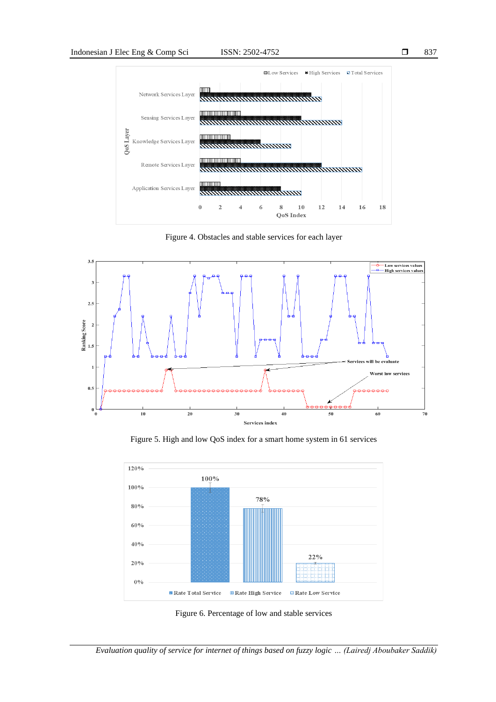

Figure 4. Obstacles and stable services for each layer



Figure 5. High and low QoS index for a smart home system in 61 services



Figure 6. Percentage of low and stable services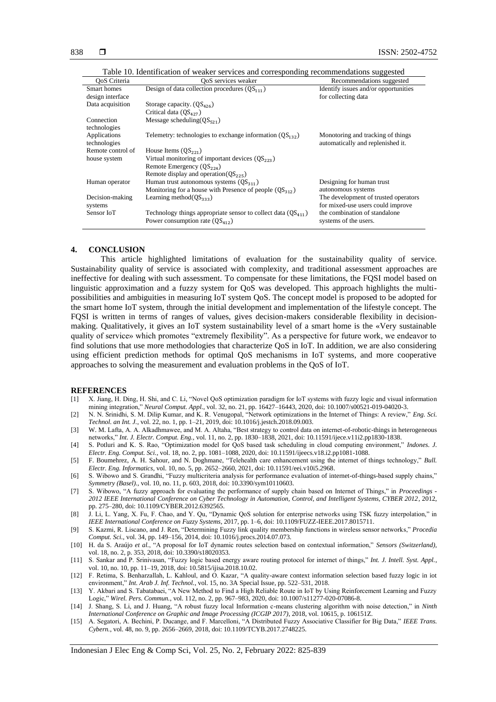| Recommendations suggested            |
|--------------------------------------|
| Identify issues and/or opportunities |
| for collecting data                  |
|                                      |
|                                      |
|                                      |
|                                      |
| Monotoring and tracking of things    |
| automatically and replenished it.    |
|                                      |
|                                      |
|                                      |
|                                      |
| Designing for human trust            |
| autonomous systems                   |
| The development of trusted operators |
| for mixed-use users could improve    |
| the combination of standalone        |
| systems of the users.                |
|                                      |

Table 10. Identification of weaker services and corresponding recommendations suggested

#### **4. CONCLUSION**

This article highlighted limitations of evaluation for the sustainability quality of service. Sustainability quality of service is associated with complexity, and traditional assessment approaches are ineffective for dealing with such assessment. To compensate for these limitations, the FQSI model based on linguistic approximation and a fuzzy system for QoS was developed. This approach highlights the multipossibilities and ambiguities in measuring IoT system QoS. The concept model is proposed to be adopted for the smart home IoT system, through the initial development and implementation of the lifestyle concept. The FQSI is written in terms of ranges of values, gives decision-makers considerable flexibility in decisionmaking. Qualitatively, it gives an IoT system sustainability level of a smart home is the «Very sustainable quality of service» which promotes "extremely flexibility". As a perspective for future work, we endeavor to find solutions that use more methodologies that characterize QoS in IoT. In addition, we are also considering using efficient prediction methods for optimal QoS mechanisms in IoT systems, and more cooperative approaches to solving the measurement and evaluation problems in the QoS of IoT.

#### **REFERENCES**

- [1] X. Jiang, H. Ding, H. Shi, and C. Li, "Novel QoS optimization paradigm for IoT systems with fuzzy logic and visual information mining integration," *Neural Comput. Appl.*, vol. 32, no. 21, pp. 16427–16443, 2020, doi: 10.1007/s00521-019-04020-3.
- [2] N. N. Srinidhi, S. M. Dilip Kumar, and K. R. Venugopal, "Network optimizations in the Internet of Things: A review," *Eng. Sci. Technol. an Int. J.*, vol. 22, no. 1, pp. 1–21, 2019, doi: 10.1016/j.jestch.2018.09.003.
- [3] W. M. Lafta, A. A. Alkadhmawee, and M. A. Altaha, "Best strategy to control data on internet-of-robotic-things in heterogeneous networks," *Int. J. Electr. Comput. Eng.,* vol. 11, no. 2, pp. 1830–1838, 2021, doi: 10.11591/ijece.v11i2.pp1830-1838.
- [4] S. Potluri and K. S. Rao, "Optimization model for QoS based task scheduling in cloud computing environment," *Indones. J. Electr. Eng. Comput. Sci.*, vol. 18, no. 2, pp. 1081–1088, 2020, doi: 10.11591/ijeecs.v18.i2.pp1081-1088.
- [5] F. Boumehrez, A. H. Sahour, and N. Doghmane, "Telehealth care enhancement using the internet of things technology," *Bull. Electr. Eng. Informatics*, vol. 10, no. 5, pp. 2652–2660, 2021, doi: 10.11591/eei.v10i5.2968.
- [6] S. Wibowo and S. Grandhi, "Fuzzy multicriteria analysis for performance evaluation of internet-of-things-based supply chains," *Symmetry (Basel).*, vol. 10, no. 11, p. 603, 2018, doi: 10.3390/sym10110603.
- [7] S. Wibowo, "A fuzzy approach for evaluating the performance of supply chain based on Internet of Things," in *Proceedings - 2012 IEEE International Conference on Cyber Technology in Automation, Control, and Intelligent Systems, CYBER 2012*, 2012, pp. 275–280, doi: 10.1109/CYBER.2012.6392565.
- [8] J. Li, L. Yang, X. Fu, F. Chao, and Y. Qu, "Dynamic QoS solution for enterprise networks using TSK fuzzy interpolation," in *IEEE International Conference on Fuzzy Systems*, 2017, pp. 1–6, doi: 10.1109/FUZZ-IEEE.2017.8015711.
- [9] S. Kazmi, R. Liscano, and J. Ren, "Determining Fuzzy link quality membership functions in wireless sensor networks," *Procedia Comput. Sci.*, vol. 34, pp. 149–156, 2014, doi: 10.1016/j.procs.2014.07.073.
- [10] H. da S. Araújo *et al.*, "A proposal for IoT dynamic routes selection based on contextual information," *Sensors (Switzerland)*, vol. 18, no. 2, p. 353, 2018, doi: 10.3390/s18020353.
- [11] S. Sankar and P. Srinivasan, "Fuzzy logic based energy aware routing protocol for internet of things," *Int. J. Intell. Syst. Appl.*, vol. 10, no. 10, pp. 11–19, 2018, doi: 10.5815/ijisa.2018.10.02.
- [12] F. Retima, S. Benharzallah, L. Kahloul, and O. Kazar, "A quality-aware context information selection based fuzzy logic in iot environment," *Int. Arab J. Inf. Technol.*, vol. 15, no. 3A Special Issue, pp. 522–531, 2018.
- [13] Y. Akbari and S. Tabatabaei, "A New Method to Find a High Reliable Route in IoT by Using Reinforcement Learning and Fuzzy Logic," *Wirel. Pers. Commun.*, vol. 112, no. 2, pp. 967–983, 2020, doi: 10.1007/s11277-020-07086-8.
- [14] J. Shang, S. Li, and J. Huang, "A robust fuzzy local Information c-means clustering algorithm with noise detection," in *Ninth International Conference on Graphic and Image Processing (ICGIP 2017)*, 2018, vol. 10615, p. 106151Z.
- [15] A. Segatori, A. Bechini, P. Ducange, and F. Marcelloni, "A Distributed Fuzzy Associative Classifier for Big Data," *IEEE Trans. Cybern.*, vol. 48, no. 9, pp. 2656–2669, 2018, doi: 10.1109/TCYB.2017.2748225.